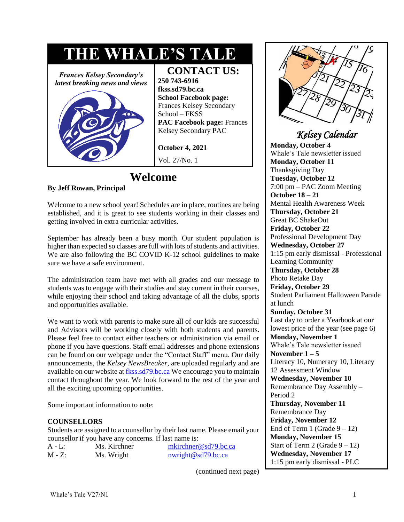# **THE WHALE'S TALE**

*Frances Kelsey Secondary's latest breaking news and views*



**CONTACT US: 250 743-6916 fkss.sd79.bc.ca School Facebook page:** Frances Kelsey Secondary School – FKSS **PAC Facebook page:** Frances Kelsey Secondary PAC

**October 4, 2021** Vol. 27/No. 1

### **Welcome**

### **By Jeff Rowan, Principal**

Welcome to a new school year! Schedules are in place, routines are being established, and it is great to see students working in their classes and getting involved in extra curricular activities.

September has already been a busy month. Our student population is higher than expected so classes are full with lots of students and activities. We are also following the BC COVID K-12 school guidelines to make sure we have a safe environment.

The administration team have met with all grades and our message to students was to engage with their studies and stay current in their courses, while enjoying their school and taking advantage of all the clubs, sports and opportunities available.

We want to work with parents to make sure all of our kids are successful and Advisors will be working closely with both students and parents. Please feel free to contact either teachers or administration via email or phone if you have questions. Staff email addresses and phone extensions can be found on our webpage under the "Contact Staff" menu. Our daily announcements, the *Kelsey NewsBreaker,* are uploaded regularly and are available on our website a[t fkss.sd79.bc.ca](https://fkss.sd79.bc.ca/) We encourage you to maintain contact throughout the year. We look forward to the rest of the year and all the exciting upcoming opportunities.

Some important information to note:

### **COUNSELLORS**

Students are assigned to a counsellor by their last name. Please email your counsellor if you have any concerns. If last name is:

| $A - L$ : | Ms. Kirchner | $m\text{kirchner}@sd79 \text{.}bc.ca$ |
|-----------|--------------|---------------------------------------|
| $M - Z$ : | Ms. Wright   | $n$ wright@sd79.bc.ca                 |

(continued next page)



### *Kelsey Calendar*

**Monday, October 4** Whale's Tale newsletter issued **Monday, October 11**  Thanksgiving Day **Tuesday, October 12**  7:00 pm – PAC Zoom Meeting **October 18 – 21**  Mental Health Awareness Week **Thursday, October 21** Great BC ShakeOut **Friday, October 22**  Professional Development Day **Wednesday, October 27**  1:15 pm early dismissal - Professional Learning Community **Thursday, October 28**  Photo Retake Day **Friday, October 29**  Student Parliament Halloween Parade at lunch **Sunday, October 31**  Last day to order a Yearbook at our lowest price of the year (see page 6) **Monday, November 1**  Whale's Tale newsletter issued **November 1 – 5**  Literacy 10, Numeracy 10, Literacy 12 Assessment Window **Wednesday, November 10**  Remembrance Day Assembly – Period 2 **Thursday, November 11**  Remembrance Day **Friday, November 12**  End of Term 1 (Grade  $9 - 12$ ) **Monday, November 15**  Start of Term 2 (Grade  $9 - 12$ ) **Wednesday, November 17**  1:15 pm early dismissal - PLC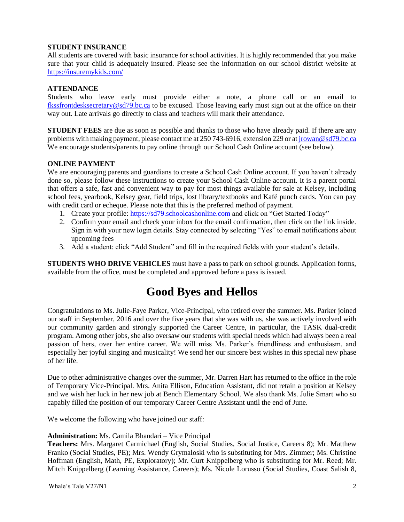#### **STUDENT INSURANCE**

All students are covered with basic insurance for school activities. It is highly recommended that you make sure that your child is adequately insured. Please see the information on our school district website at <https://insuremykids.com/>

### **ATTENDANCE**

Students who leave early must provide either a note, a phone call or an email to [fkssfrontdesksecretary@sd79.bc.ca](mailto:fkssfrontdesksecretary@sd79.bc.ca) to be excused. Those leaving early must sign out at the office on their way out. Late arrivals go directly to class and teachers will mark their attendance.

**STUDENT FEES** are due as soon as possible and thanks to those who have already paid. If there are any problems with making payment, please contact me at 250 743-6916, extension 229 or at [jrowan@sd79.bc.ca](mailto:jrowan@sd79.bc.ca) We encourage students/parents to pay online through our School Cash Online account (see below).

### **ONLINE PAYMENT**

We are encouraging parents and guardians to create a School Cash Online account. If you haven't already done so, please follow these instructions to create your School Cash Online account. It is a parent portal that offers a safe, fast and convenient way to pay for most things available for sale at Kelsey, including school fees, yearbook, Kelsey gear, field trips, lost library/textbooks and Kafé punch cards. You can pay with credit card or echeque. Please note that this is the preferred method of payment.

- 1. Create your profile: [https://sd79.schoolcashonline.com](https://sd79.schoolcashonline.com/) and click on "Get Started Today"
- 2. Confirm your email and check your inbox for the email confirmation, then click on the link inside. Sign in with your new login details. Stay connected by selecting "Yes" to email notifications about upcoming fees
- 3. Add a student: click "Add Student" and fill in the required fields with your student's details.

**STUDENTS WHO DRIVE VEHICLES** must have a pass to park on school grounds. Application forms, available from the office, must be completed and approved before a pass is issued.

# **Good Byes and Hellos**

Congratulations to Ms. Julie-Faye Parker, Vice-Principal, who retired over the summer. Ms. Parker joined our staff in September, 2016 and over the five years that she was with us, she was actively involved with our community garden and strongly supported the Career Centre, in particular, the TASK dual-credit program. Among other jobs, she also oversaw our students with special needs which had always been a real passion of hers, over her entire career. We will miss Ms. Parker's friendliness and enthusiasm, and especially her joyful singing and musicality! We send her our sincere best wishes in this special new phase of her life.

Due to other administrative changes over the summer, Mr. Darren Hart has returned to the office in the role of Temporary Vice-Principal. Mrs. Anita Ellison, Education Assistant, did not retain a position at Kelsey and we wish her luck in her new job at Bench Elementary School. We also thank Ms. Julie Smart who so capably filled the position of our temporary Career Centre Assistant until the end of June.

We welcome the following who have joined our staff:

#### **Administration:** Ms. Camila Bhandari – Vice Principal

**Teachers:** Mrs. Margaret Carmichael (English, Social Studies, Social Justice, Careers 8); Mr. Matthew Franko (Social Studies, PE); Mrs. Wendy Grymaloski who is substituting for Mrs. Zimmer; Ms. Christine Hoffman (English, Math, PE, Exploratory); Mr. Curt Knippelberg who is substituting for Mr. Reed; Mr. Mitch Knippelberg (Learning Assistance, Careers); Ms. Nicole Lorusso (Social Studies, Coast Salish 8,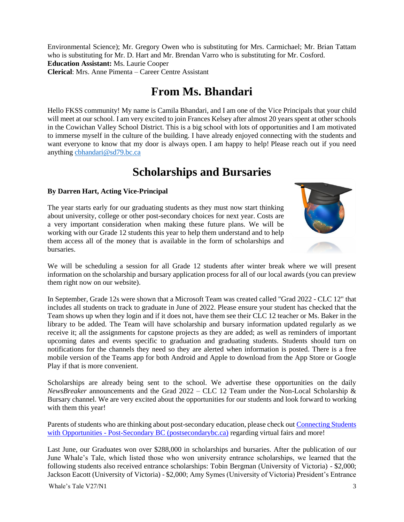Environmental Science); Mr. Gregory Owen who is substituting for Mrs. Carmichael; Mr. Brian Tattam who is substituting for Mr. D. Hart and Mr. Brendan Varro who is substituting for Mr. Cosford. **Education Assistant:** Ms. Laurie Cooper **Clerical**: Mrs. Anne Pimenta – Career Centre Assistant

### **From Ms. Bhandari**

Hello FKSS community! My name is Camila Bhandari, and I am one of the Vice Principals that your child will meet at our school. I am very excited to join Frances Kelsey after almost 20 years spent at other schools in the Cowichan Valley School District. This is a big school with lots of opportunities and I am motivated to immerse myself in the culture of the building. I have already enjoyed connecting with the students and want everyone to know that my door is always open. I am happy to help! Please reach out if you need anything [cbhandari@sd79.bc.ca](mailto:cbhandari@sd79.bc.ca)

### **Scholarships and Bursaries**

### **By Darren Hart, Acting Vice-Principal**

The year starts early for our graduating students as they must now start thinking about university, college or other post-secondary choices for next year. Costs are a very important consideration when making these future plans. We will be working with our Grade 12 students this year to help them understand and to help them access all of the money that is available in the form of scholarships and bursaries.



We will be scheduling a session for all Grade 12 students after winter break where we will present information on the scholarship and bursary application process for all of our local awards (you can preview them right now on our website).

In September, Grade 12s were shown that a Microsoft Team was created called "Grad 2022 - CLC 12" that includes all students on track to graduate in June of 2022. Please ensure your student has checked that the Team shows up when they login and if it does not, have them see their CLC 12 teacher or Ms. Baker in the library to be added. The Team will have scholarship and bursary information updated regularly as we receive it; all the assignments for capstone projects as they are added; as well as reminders of important upcoming dates and events specific to graduation and graduating students. Students should turn on notifications for the channels they need so they are alerted when information is posted. There is a free mobile version of the Teams app for both Android and Apple to download from the App Store or Google Play if that is more convenient.

Scholarships are already being sent to the school. We advertise these opportunities on the daily *NewsBreaker* announcements and the Grad 2022 – CLC 12 Team under the Non-Local Scholarship & Bursary channel. We are very excited about the opportunities for our students and look forward to working with them this year!

Parents of students who are thinking about post-secondary education, please check ou[t Connecting Students](https://www.postsecondarybc.ca/)  with Opportunities - [Post-Secondary BC \(postsecondarybc.ca\)](https://www.postsecondarybc.ca/) regarding virtual fairs and more!

Last June, our Graduates won over \$288,000 in scholarships and bursaries. After the publication of our June Whale's Tale, which listed those who won university entrance scholarships, we learned that the following students also received entrance scholarships: Tobin Bergman (University of Victoria) - \$2,000; Jackson Eacott (University of Victoria) - \$2,000; Amy Symes (University of Victoria) President's Entrance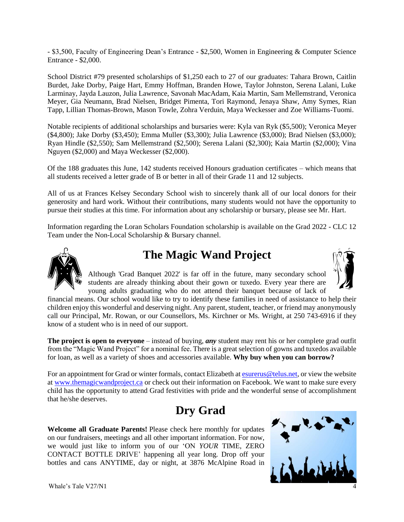- \$3,500, Faculty of Engineering Dean's Entrance - \$2,500, Women in Engineering & Computer Science Entrance - \$2,000.

School District #79 presented scholarships of \$1,250 each to 27 of our graduates: Tahara Brown, Caitlin Burdet, Jake Dorby, Paige Hart, Emmy Hoffman, Branden Howe, Taylor Johnston, Serena Lalani, Luke Larminay, Jayda Lauzon, Julia Lawrence, Savonah MacAdam, Kaia Martin, Sam Mellemstrand, Veronica Meyer, Gia Neumann, Brad Nielsen, Bridget Pimenta, Tori Raymond, Jenaya Shaw, Amy Symes, Rian Tapp, Lillian Thomas-Brown, Mason Towle, Zohra Verduin, Maya Weckesser and Zoe Williams-Tuomi.

Notable recipients of additional scholarships and bursaries were: Kyla van Ryk (\$5,500); Veronica Meyer (\$4,800); Jake Dorby (\$3,450); Emma Muller (\$3,300); Julia Lawrence (\$3,000); Brad Nielsen (\$3,000); Ryan Hindle (\$2,550); Sam Mellemstrand (\$2,500); Serena Lalani (\$2,300); Kaia Martin (\$2,000); Vina Nguyen (\$2,000) and Maya Weckesser (\$2,000).

Of the 188 graduates this June, 142 students received Honours graduation certificates – which means that all students received a letter grade of B or better in all of their Grade 11 and 12 subjects.

All of us at Frances Kelsey Secondary School wish to sincerely thank all of our local donors for their generosity and hard work. Without their contributions, many students would not have the opportunity to pursue their studies at this time. For information about any scholarship or bursary, please see Mr. Hart.

Information regarding the Loran Scholars Foundation scholarship is available on the Grad 2022 - CLC 12 Team under the Non-Local Scholarship & Bursary channel.



# **The Magic Wand Project**

Although 'Grad Banquet 2022' is far off in the future, many secondary school students are already thinking about their gown or tuxedo. Every year there are

young adults graduating who do not attend their banquet because of lack of financial means. Our school would like to try to identify these families in need of assistance to help their children enjoy this wonderful and deserving night. Any parent, student, teacher, or friend may anonymously call our Principal, Mr. Rowan, or our Counsellors, Ms. Kirchner or Ms. Wright, at 250 743-6916 if they know of a student who is in need of our support.

**The project is open to everyone** – instead of buying, *any* student may rent his or her complete grad outfit from the "Magic Wand Project" for a nominal fee. There is a great selection of gowns and tuxedos available for loan, as well as a variety of shoes and accessories available. **Why buy when you can borrow?**

For an appointment for Grad or winter formals, contact Elizabeth at [esurerus@telus.net,](mailto:esurerus@telus.net) or view the website at [www.themagicwandproject.ca](http://www.themagicwandproject.ca/) or check out their information on Facebook. We want to make sure every child has the opportunity to attend Grad festivities with pride and the wonderful sense of accomplishment that he/she deserves.

### **Dry Grad**

**Welcome all Graduate Parents!** Please check here monthly for updates on our fundraisers, meetings and all other important information. For now, we would just like to inform you of our 'ON *YOUR* TIME, ZERO CONTACT BOTTLE DRIVE' happening all year long. Drop off your bottles and cans ANYTIME, day or night, at 3876 McAlpine Road in

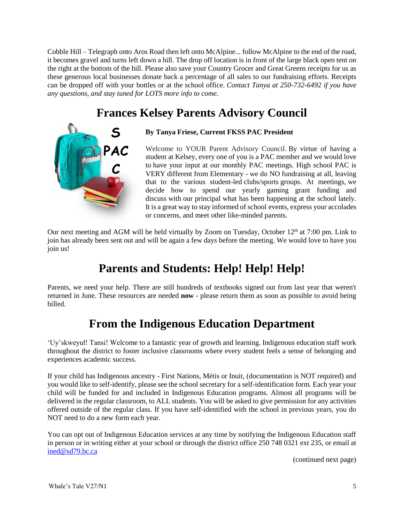Cobble Hill – Telegraph onto Aros Road then left onto McAlpine... follow McAlpine to the end of the road, it becomes gravel and turns left down a hill. The drop off location is in front of the large black open tent on the right at the bottom of the hill. Please also save your Country Grocer and Great Greens receipts for us as these generous local businesses donate back a percentage of all sales to our fundraising efforts. Receipts can be dropped off with your bottles or at the school office. *Contact Tanya at 250-732-6492 if you have any questions, and stay tuned for LOTS more info to come.*

# **Frances Kelsey Parents Advisory Council**



**By Tanya Friese, Current FKSS PAC President**

Welcome to YOUR Parent Advisory Council. By virtue of having a student at Kelsey, every one of you is a PAC member and we would love to have your input at our monthly PAC meetings. High school PAC is VERY different from Elementary - we do NO fundraising at all, leaving that to the various student-led clubs/sports groups. At meetings, we decide how to spend our yearly gaming grant funding and discuss with our principal what has been happening at the school lately. It is a great way to stay informed of school events, express your accolades or concerns, and meet other like-minded parents.

Our next meeting and AGM will be held virtually by Zoom on Tuesday, October 12<sup>th</sup> at 7:00 pm. Link to join has already been sent out and will be again a few days before the meeting. We would love to have you join us!

# **Parents and Students: Help! Help! Help!**

Parents, we need your help. There are still hundreds of textbooks signed out from last year that weren't returned in June. These resources are needed **now** - please return them as soon as possible to avoid being billed.

# **From the Indigenous Education Department**

'Uy'skweyul! Tansi! Welcome to a fantastic year of growth and learning. Indigenous education staff work throughout the district to foster inclusive classrooms where every student feels a sense of belonging and experiences academic success.

If your child has Indigenous ancestry - First Nations, Métis or Inuit, (documentation is NOT required) and you would like to self-identify, please see the school secretary for a self-identification form. Each year your child will be funded for and included in Indigenous Education programs. Almost all programs will be delivered in the regular classroom, to ALL students. You will be asked to give permission for any activities offered outside of the regular class. If you have self-identified with the school in previous years, you do NOT need to do a new form each year.

You can opt out of Indigenous Education services at any time by notifying the Indigenous Education staff in person or in writing either at your school or through the district office 250 748 0321 ext 235, or email at [ined@sd79.bc.ca](mailto:ined@sd79.bc.ca)

(continued next page)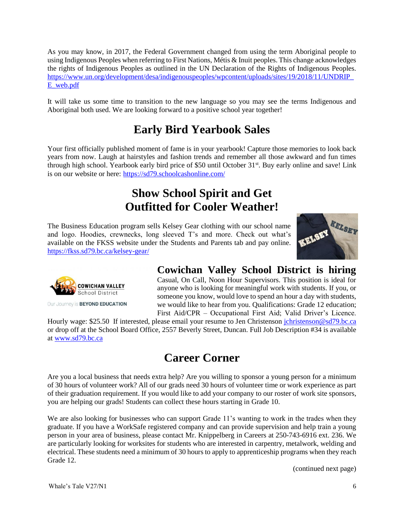As you may know, in 2017, the Federal Government changed from using the term Aboriginal people to using Indigenous Peoples when referring to First Nations, Métis & Inuit peoples. This change acknowledges the rights of Indigenous Peoples as outlined in the UN Declaration of the Rights of Indigenous Peoples. [https://www.un.org/development/desa/indigenouspeoples/wpcontent/uploads/sites/19/2018/11/UNDRIP\\_](https://www.un.org/development/desa/indigenouspeoples/wpcontent/uploads/sites/19/2018/11/UNDRIP_E_web.pdf) [E\\_web.pdf](https://www.un.org/development/desa/indigenouspeoples/wpcontent/uploads/sites/19/2018/11/UNDRIP_E_web.pdf)

It will take us some time to transition to the new language so you may see the terms Indigenous and Aboriginal both used. We are looking forward to a positive school year together!

# **Early Bird Yearbook Sales**

Your first officially published moment of fame is in your yearbook! Capture those memories to look back years from now. Laugh at hairstyles and fashion trends and remember all those awkward and fun times through high school. Yearbook early bird price of \$50 until October 31<sup>st</sup>. Buy early online and save! Link is on our website or here: <https://sd79.schoolcashonline.com/>

# **Show School Spirit and Get Outfitted for Cooler Weather!**

The Business Education program sells Kelsey Gear clothing with our school name and logo. Hoodies, crewnecks, long sleeved T's and more. Check out what's available on the FKSS website under the Students and Parents tab and pay online. <https://fkss.sd79.bc.ca/kelsey-gear/>





Our Journey is **BEYOND EDUCATION** 

### **Cowichan Valley School District is hiring**

Casual, On Call, Noon Hour Supervisors. This position is ideal for anyone who is looking for meaningful work with students. If you, or someone you know, would love to spend an hour a day with students, we would like to hear from you. Qualifications: Grade 12 education; First Aid/CPR – Occupational First Aid; Valid Driver's Licence.

Hourly wage: \$25.50 If interested, please email your resume to Jen Christenson [jchristenson@sd79.bc.ca](mailto:jchristenson@sd79.bc.ca) or drop off at the School Board Office, 2557 Beverly Street, Duncan. Full Job Description #34 is available at [www.sd79.bc.ca](http://www.sd79.bc.ca/)

# **Career Corner**

Are you a local business that needs extra help? Are you willing to sponsor a young person for a minimum of 30 hours of volunteer work? All of our grads need 30 hours of volunteer time or work experience as part of their graduation requirement. If you would like to add your company to our roster of work site sponsors, you are helping our grads! Students can collect these hours starting in Grade 10.

We are also looking for businesses who can support Grade 11's wanting to work in the trades when they graduate. If you have a WorkSafe registered company and can provide supervision and help train a young person in your area of business, please contact Mr. Knippelberg in Careers at 250-743-6916 ext. 236. We are particularly looking for worksites for students who are interested in carpentry, metalwork, welding and electrical. These students need a minimum of 30 hours to apply to apprenticeship programs when they reach Grade 12.

(continued next page)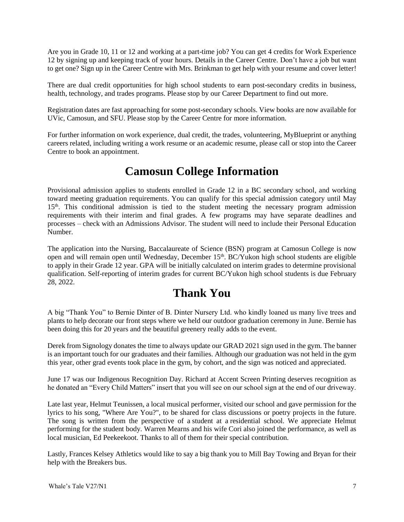Are you in Grade 10, 11 or 12 and working at a part-time job? You can get 4 credits for Work Experience 12 by signing up and keeping track of your hours. Details in the Career Centre. Don't have a job but want to get one? Sign up in the Career Centre with Mrs. Brinkman to get help with your resume and cover letter!

There are dual credit opportunities for high school students to earn post-secondary credits in business, health, technology, and trades programs. Please stop by our Career Department to find out more.

Registration dates are fast approaching for some post-secondary schools. View books are now available for UVic, Camosun, and SFU. Please stop by the Career Centre for more information.

For further information on work experience, dual credit, the trades, volunteering, MyBlueprint or anything careers related, including writing a work resume or an academic resume, please call or stop into the Career Centre to book an appointment.

### **Camosun College Information**

[Provisional admission](https://camosun.ca/apply/how-apply/how-apply-credit-programs/high-school-applicants-special-admissions-faqs) applies to students enrolled in Grade 12 in a BC secondary school, and working toward meeting graduation requirements. You can qualify for this special admission category until May 15th. This conditional admission is tied to the student meeting the necessary program admission requirements with their interim and final grades. A few programs may have separate deadlines and processes – check with an Admissions Advisor. The student will need to include their Personal Education Number.

The application into the Nursing, Baccalaureate of Science (BSN) program at Camosun College is now open and will remain open until Wednesday, December 15<sup>th</sup>. BC/Yukon high school students are eligible to apply in their Grade 12 year. GPA will be initially calculated on interim grades to determine provisional qualification. Self-reporting of interim grades for current BC/Yukon high school students is due February 28, 2022.

### **Thank You**

A big "Thank You" to Bernie Dinter of B. Dinter Nursery Ltd. who kindly loaned us many live trees and plants to help decorate our front steps where we held our outdoor graduation ceremony in June. Bernie has been doing this for 20 years and the beautiful greenery really adds to the event.

Derek from Signology donates the time to always update our GRAD 2021 sign used in the gym. The banner is an important touch for our graduates and their families. Although our graduation was not held in the gym this year, other grad events took place in the gym, by cohort, and the sign was noticed and appreciated.

June 17 was our Indigenous Recognition Day. Richard at Accent Screen Printing deserves recognition as he donated an "Every Child Matters" insert that you will see on our school sign at the end of our driveway.

Late last year, Helmut Teunissen, a local musical performer, visited our school and gave permission for the lyrics to his song, "Where Are You?", to be shared for class discussions or poetry projects in the future. The song is written from the perspective of a student at a residential school. We appreciate Helmut performing for the student body. Warren Mearns and his wife Cori also joined the performance, as well as local musician, Ed Peekeekoot. Thanks to all of them for their special contribution.

Lastly, Frances Kelsey Athletics would like to say a big thank you to Mill Bay Towing and Bryan for their help with the Breakers bus.